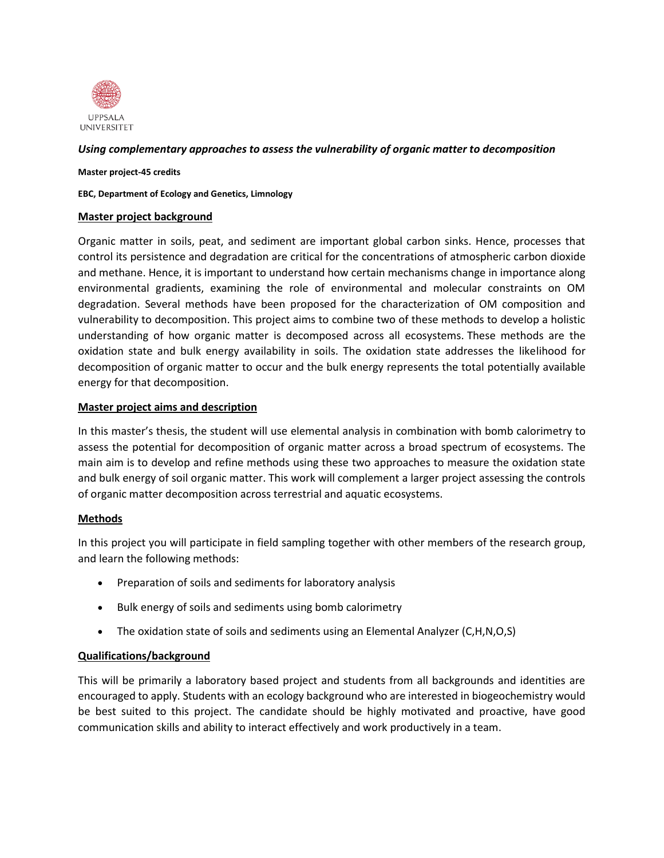

## *Using complementary approaches to assess the vulnerability of organic matter to decomposition*

#### **Master project-45 credits**

**EBC, Department of Ecology and Genetics, Limnology**

#### **Master project background**

Organic matter in soils, peat, and sediment are important global carbon sinks. Hence, processes that control its persistence and degradation are critical for the concentrations of atmospheric carbon dioxide and methane. Hence, it is important to understand how certain mechanisms change in importance along environmental gradients, examining the role of environmental and molecular constraints on OM degradation. Several methods have been proposed for the characterization of OM composition and vulnerability to decomposition. This project aims to combine two of these methods to develop a holistic understanding of how organic matter is decomposed across all ecosystems. These methods are the oxidation state and bulk energy availability in soils. The oxidation state addresses the likelihood for decomposition of organic matter to occur and the bulk energy represents the total potentially available energy for that decomposition.

### **Master project aims and description**

In this master's thesis, the student will use elemental analysis in combination with bomb calorimetry to assess the potential for decomposition of organic matter across a broad spectrum of ecosystems. The main aim is to develop and refine methods using these two approaches to measure the oxidation state and bulk energy of soil organic matter. This work will complement a larger project assessing the controls of organic matter decomposition across terrestrial and aquatic ecosystems.

# **Methods**

In this project you will participate in field sampling together with other members of the research group, and learn the following methods:

- Preparation of soils and sediments for laboratory analysis
- Bulk energy of soils and sediments using bomb calorimetry
- The oxidation state of soils and sediments using an Elemental Analyzer (C,H,N,O,S)

# **Qualifications/background**

This will be primarily a laboratory based project and students from all backgrounds and identities are encouraged to apply. Students with an ecology background who are interested in biogeochemistry would be best suited to this project. The candidate should be highly motivated and proactive, have good communication skills and ability to interact effectively and work productively in a team.